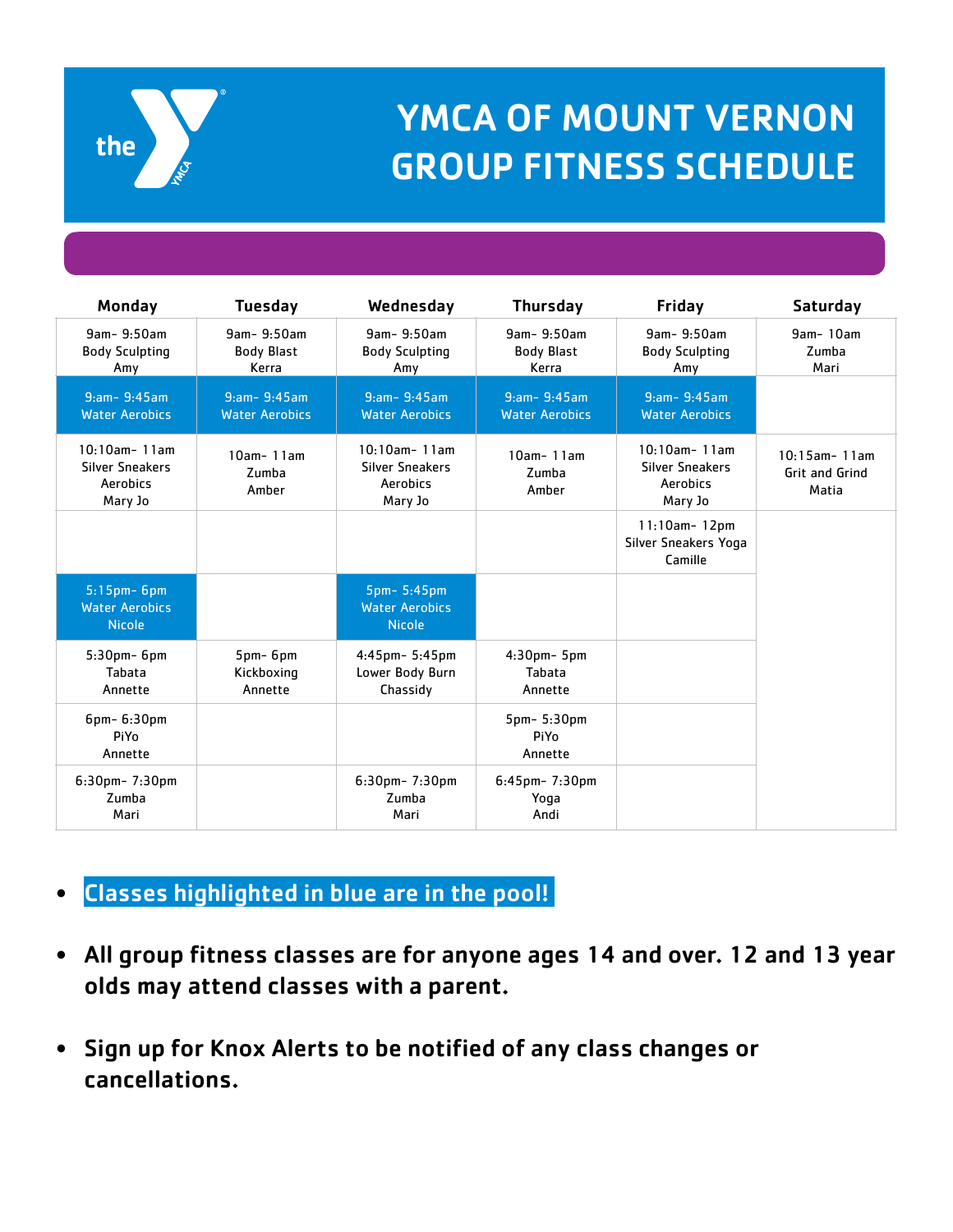

## YMCA OF MOUNT VERNON GROUP FITNESS SCHEDULE

| Monday                                                           | <b>Tuesday</b>                           | Wednesday                                                               | <b>Thursday</b>                           | Friday                                                           | Saturday                                   |
|------------------------------------------------------------------|------------------------------------------|-------------------------------------------------------------------------|-------------------------------------------|------------------------------------------------------------------|--------------------------------------------|
| 9am-9:50am<br><b>Body Sculpting</b><br>Amy                       | 9am-9:50am<br>Body Blast<br>Kerra        | 9am- 9:50am<br><b>Body Sculpting</b><br>Amy                             | 9am- 9:50am<br><b>Body Blast</b><br>Kerra | 9am- 9:50am<br><b>Body Sculpting</b><br>Amy                      | 9am-10am<br>Zumba<br>Mari                  |
| $9:am - 9:45am$<br><b>Water Aerobics</b>                         | $9:am - 9:45am$<br><b>Water Aerobics</b> | $9:am - 9:45am$<br><b>Water Aerobics</b>                                | $9:am - 9:45am$<br><b>Water Aerobics</b>  | $9:am - 9:45am$<br><b>Water Aerobics</b>                         |                                            |
| $10:10$ am-11am<br><b>Silver Sneakers</b><br>Aerobics<br>Mary Jo | $10am - 11am$<br>Zumba<br>Amber          | $10:10$ am-11am<br><b>Silver Sneakers</b><br><b>Aerobics</b><br>Mary Jo | $10am - 11am$<br>Zumba<br>Amber           | $10:10$ am-11am<br><b>Silver Sneakers</b><br>Aerobics<br>Mary Jo | $10:15$ am-11am<br>Grit and Grind<br>Matia |
|                                                                  |                                          |                                                                         |                                           | $11:10am - 12pm$<br>Silver Sneakers Yoga<br>Camille              |                                            |
| $5:15$ pm- $6$ pm<br><b>Water Aerobics</b><br><b>Nicole</b>      |                                          | 5pm-5:45pm<br><b>Water Aerobics</b><br><b>Nicole</b>                    |                                           |                                                                  |                                            |
| $5:30$ pm- $6$ pm<br>Tabata<br>Annette                           | $5pm$ - $6pm$<br>Kickboxing<br>Annette   | 4:45pm- 5:45pm<br>Lower Body Burn<br>Chassidy                           | $4:30$ pm $-5$ pm<br>Tabata<br>Annette    |                                                                  |                                            |
| 6pm- 6:30pm<br>PiYo<br>Annette                                   |                                          |                                                                         | 5pm- 5:30pm<br>PiYo<br>Annette            |                                                                  |                                            |
| 6:30pm-7:30pm<br>Zumba<br>Mari                                   |                                          | 6:30pm- 7:30pm<br>Zumba<br>Mari                                         | 6:45pm-7:30pm<br>Yoga<br>Andi             |                                                                  |                                            |

## $\bullet$  Classes highlighted in blue are in the pool!  $\vert$

- All group fitness classes are for anyone ages 14 and over. 12 and 13 year olds may attend classes with a parent.
- Sign up for Knox Alerts to be notified of any class changes or cancellations.